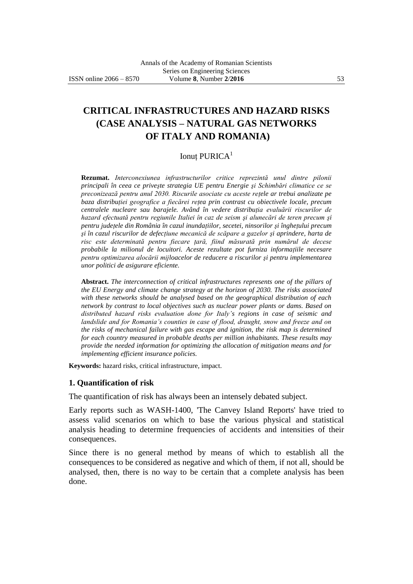# **CRITICAL INFRASTRUCTURES AND HAZARD RISKS (CASE ANALYSIS – NATURAL GAS NETWORKS OF ITALY AND ROMANIA)**

### Ionut PURICA<sup>1</sup>

**Rezumat.** *Interconexiunea infrastructurilor critice reprezintă unul dintre pilonii principali în ceea ce priveşte strategia UE pentru Energie şi Schimbări climatice ce se preconizează pentru anul 2030. Riscurile asociate cu aceste reţele ar trebui analizate pe baza distribuţiei geografice a fiecărei reţea prin contrast cu obiectivele locale, precum centralele nucleare sau barajele. Având în vedere distribuţia evaluării riscurilor de hazard efectuată pentru regiunile Italiei în caz de seism şi alunecări de teren precum şi pentru judeţele din România în cazul inundaţiilor, secetei, ninsorilor şi îngheţului precum şi în cazul riscurilor de defecţiune mecanică de scăpare a gazelor şi aprindere, harta de risc este determinată pentru fiecare ţară, fiind măsurată prin numărul de decese probabile la milionul de locuitori. Aceste rezultate pot furniza informaţiile necesare pentru optimizarea alocării mijloacelor de reducere a riscurilor şi pentru implementarea unor politici de asigurare eficiente.*

**Abstract.** *The interconnection of critical infrastructures represents one of the pillars of the EU Energy and climate change strategy at the horizon of 2030. The risks associated with these networks should be analysed based on the geographical distribution of each network by contrast to local objectives such as nuclear power plants or dams. Based on distributed hazard risks evaluation done for Italy's regions in case of seismic and landslide and for Romania's counties in case of flood, draught, snow and freeze and on the risks of mechanical failure with gas escape and ignition, the risk map is determined for each country measured in probable deaths per million inhabitants. These results may provide the needed information for optimizing the allocation of mitigation means and for implementing efficient insurance policies.*

**Keywords:** hazard risks, critical infrastructure, impact.

#### **1. Quantification of risk**

The quantification of risk has always been an intensely debated subject.

Early reports such as WASH-1400, 'The Canvey Island Reports' have tried to assess valid scenarios on which to base the various physical and statistical analysis heading to determine frequencies of accidents and intensities of their consequences.

Since there is no general method by means of which to establish all the consequences to be considered as negative and which of them, if not all, should be analysed, then, there is no way to be certain that a complete analysis has been done.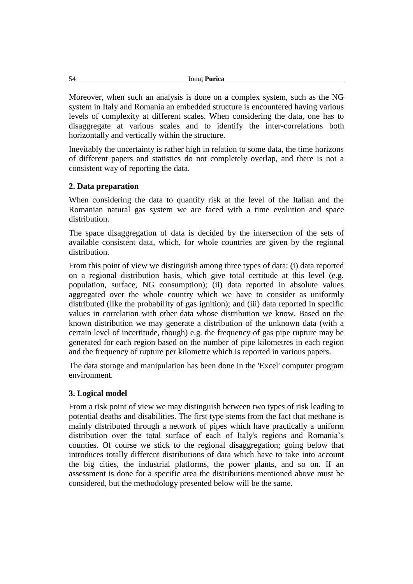| <b>Ionut Purica</b> |
|---------------------|
|                     |

Moreover, when such an analysis is done on a complex system, such as the NG system in Italy and Romania an embedded structure is encountered having various levels of complexity at different scales. When considering the data, one has to disaggregate at various scales and to identify the inter-correlations both horizontally and vertically within the structure.

Inevitably the uncertainty is rather high in relation to some data, the time horizons of different papers and statistics do not completely overlap, and there is not a consistent way of reporting the data.

# **2. Data preparation**

When considering the data to quantify risk at the level of the Italian and the Romanian natural gas system we are faced with a time evolution and space distribution.

The space disaggregation of data is decided by the intersection of the sets of available consistent data, which, for whole countries are given by the regional distribution.

From this point of view we distinguish among three types of data: (i) data reported on a regional distribution basis, which give total certitude at this level (e.g. population, surface, NG consumption); (ii) data reported in absolute values aggregated over the whole country which we have to consider as uniformly distributed (like the probability of gas ignition); and (iii) data reported in specific values in correlation with other data whose distribution we know. Based on the known distribution we may generate a distribution of the unknown data (with a certain level of incertitude, though) e.g. the frequency of gas pipe rupture may be generated for each region based on the number of pipe kilometres in each region and the frequency of rupture per kilometre which is reported in various papers.

The data storage and manipulation has been done in the 'Excel' computer program environment.

# **3. Logical model**

From a risk point of view we may distinguish between two types of risk leading to potential deaths and disabilities. The first type stems from the fact that methane is mainly distributed through a network of pipes which have practically a uniform distribution over the total surface of each of Italy's regions and Romania's counties. Of course we stick to the regional disaggregation; going below that introduces totally different distributions of data which have to take into account the big cities, the industrial platforms, the power plants, and so on. If an assessment is done for a specific area the distributions mentioned above must be considered, but the methodology presented below will be the same.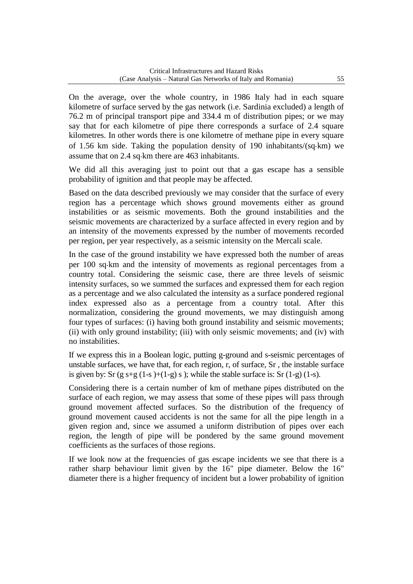On the average, over the whole country, in 1986 Italy had in each square kilometre of surface served by the gas network (i.e. Sardinia excluded) a length of 76.2 m of principal transport pipe and 334.4 m of distribution pipes; or we may say that for each kilometre of pipe there corresponds a surface of 2.4 square kilometres. In other words there is one kilometre of methane pipe in every square of 1.56 km side. Taking the population density of 190 inhabitants/(sq·km) we assume that on 2.4 sq km there are 463 inhabitants.

We did all this averaging just to point out that a gas escape has a sensible probability of ignition and that people may be affected.

Based on the data described previously we may consider that the surface of every region has a percentage which shows ground movements either as ground instabilities or as seismic movements. Both the ground instabilities and the seismic movements are characterized by a surface affected in every region and by an intensity of the movements expressed by the number of movements recorded per region, per year respectively, as a seismic intensity on the Mercali scale.

In the case of the ground instability we have expressed both the number of areas per 100 sq km and the intensity of movements as regional percentages from a country total. Considering the seismic case, there are three levels of seismic intensity surfaces, so we summed the surfaces and expressed them for each region as a percentage and we also calculated the intensity as a surface pondered regional index expressed also as a percentage from a country total. After this normalization, considering the ground movements, we may distinguish among four types of surfaces: (i) having both ground instability and seismic movements; (ii) with only ground instability; (iii) with only seismic movements; and (iv) with no instabilities.

If we express this in a Boolean logic, putting g-ground and s-seismic percentages of unstable surfaces, we have that, for each region, r, of surface, Sr , the instable surface is given by: Sr  $(g s+g (1-s)+(1-g) s)$ ; while the stable surface is: Sr  $(1-g) (1-s)$ .

Considering there is a certain number of km of methane pipes distributed on the surface of each region, we may assess that some of these pipes will pass through ground movement affected surfaces. So the distribution of the frequency of ground movement caused accidents is not the same for all the pipe length in a given region and, since we assumed a uniform distribution of pipes over each region, the length of pipe will be pondered by the same ground movement coefficients as the surfaces of those regions.

If we look now at the frequencies of gas escape incidents we see that there is a rather sharp behaviour limit given by the 16" pipe diameter. Below the 16" diameter there is a higher frequency of incident but a lower probability of ignition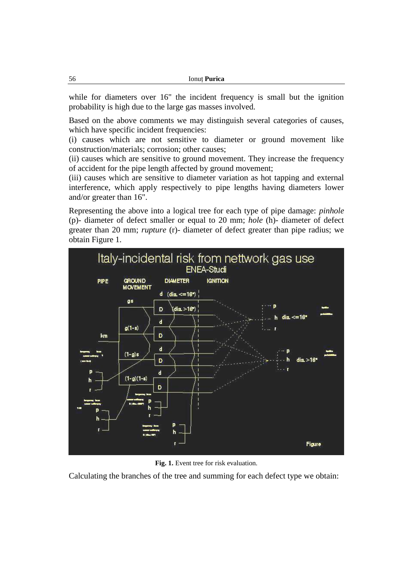while for diameters over 16" the incident frequency is small but the ignition probability is high due to the large gas masses involved.

Based on the above comments we may distinguish several categories of causes, which have specific incident frequencies:

(i) causes which are not sensitive to diameter or ground movement like construction/materials; corrosion; other causes;

(ii) causes which are sensitive to ground movement. They increase the frequency of accident for the pipe length affected by ground movement;

(iii) causes which are sensitive to diameter variation as hot tapping and external interference, which apply respectively to pipe lengths having diameters lower and/or greater than 16".

Representing the above into a logical tree for each type of pipe damage: *pinhole* (p)- diameter of defect smaller or equal to 20 mm; *hole* (h)- diameter of defect greater than 20 mm; *rupture* (r)- diameter of defect greater than pipe radius; we obtain Figure 1.



**Fig. 1.** Event tree for risk evaluation.

Calculating the branches of the tree and summing for each defect type we obtain: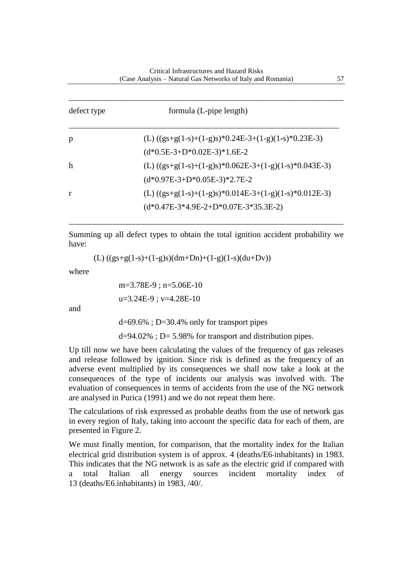| defect type | formula (L-pipe length)                                 |
|-------------|---------------------------------------------------------|
| p           | (L) $((gs+g(1-s)+(1-g)s)*0.24E-3+(1-g)(1-s)*0.23E-3)$   |
|             | $(d*0.5E-3+D*0.02E-3)*1.6E-2$                           |
| h           | (L) $((gs+g(1-s)+(1-g)s)*0.062E-3+(1-g)(1-s)*0.043E-3)$ |
|             | $(d*0.97E-3+D*0.05E-3)*2.7E-2$                          |
| r           | (L) $((gs+g(1-s)+(1-g)s)*0.014E-3+(1-g)(1-s)*0.012E-3)$ |
|             | $(d*0.47E-3*4.9E-2+D*0.07E-3*35.3E-2)$                  |

Summing up all defect types to obtain the total ignition accident probability we have:

\_\_\_\_\_\_\_\_\_\_\_\_\_\_\_\_\_\_\_\_\_\_\_\_\_\_\_\_\_\_\_\_\_\_\_\_\_\_\_\_\_\_\_\_\_\_\_\_\_\_\_\_\_\_\_\_\_\_\_\_\_\_\_\_\_\_

(L)  $((gs+g(1-s)+(1-g)s)(dm+Dn)+(1-g)(1-s)(du+Dv))$ 

where

m=3.78E-9 ; n=5.06E-10 u=3.24E-9 ; v=4.28E-10

and

d=69.6% ; D=30.4% only for transport pipes

d=94.02% ; D= 5.98% for transport and distribution pipes.

Up till now we have been calculating the values of the frequency of gas releases and release followed by ignition. Since risk is defined as the frequency of an adverse event multiplied by its consequences we shall now take a look at the consequences of the type of incidents our analysis was involved with. The evaluation of consequences in terms of accidents from the use of the NG network are analysed in Purica (1991) and we do not repeat them here.

The calculations of risk expressed as probable deaths from the use of network gas in every region of Italy, taking into account the specific data for each of them, are presented in Figure 2.

We must finally mention, for comparison, that the mortality index for the Italian electrical grid distribution system is of approx. 4 (deaths/E6 inhabitants) in 1983. This indicates that the NG network is as safe as the electric grid if compared with a total Italian all energy sources incident mortality index of 13 (deaths/E6.inhabitants) in 1983, /40/.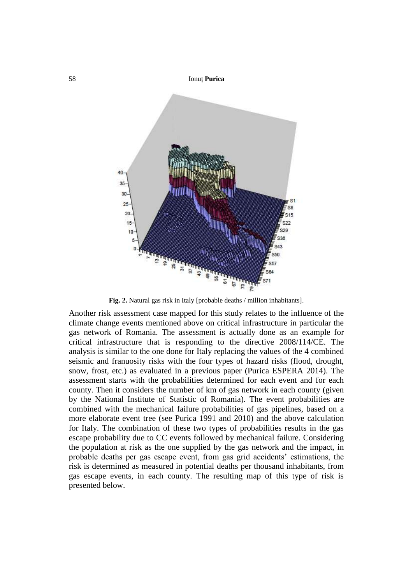

**Fig. 2.** Natural gas risk in Italy [probable deaths / million inhabitants].

Another risk assessment case mapped for this study relates to the influence of the climate change events mentioned above on critical infrastructure in particular the gas network of Romania. The assessment is actually done as an example for critical infrastructure that is responding to the directive 2008/114/CE. The analysis is similar to the one done for Italy replacing the values of the 4 combined seismic and franuosity risks with the four types of hazard risks (flood, drought, snow, frost, etc.) as evaluated in a previous paper (Purica ESPERA 2014). The assessment starts with the probabilities determined for each event and for each county. Then it considers the number of km of gas network in each county (given by the National Institute of Statistic of Romania). The event probabilities are combined with the mechanical failure probabilities of gas pipelines, based on a more elaborate event tree (see Purica 1991 and 2010) and the above calculation for Italy. The combination of these two types of probabilities results in the gas escape probability due to CC events followed by mechanical failure. Considering the population at risk as the one supplied by the gas network and the impact, in probable deaths per gas escape event, from gas grid accidents' estimations, the risk is determined as measured in potential deaths per thousand inhabitants, from gas escape events, in each county. The resulting map of this type of risk is presented below.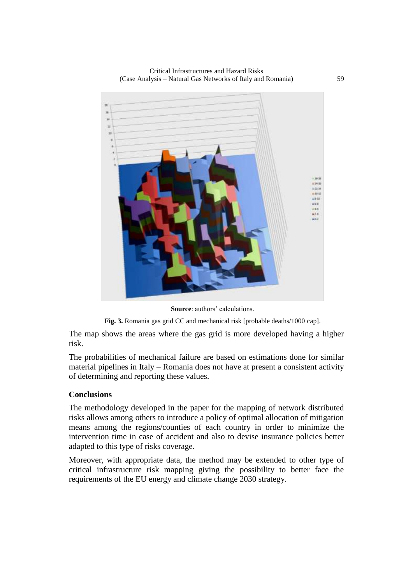

**Source**: authors' calculations.



The map shows the areas where the gas grid is more developed having a higher risk.

The probabilities of mechanical failure are based on estimations done for similar material pipelines in Italy – Romania does not have at present a consistent activity of determining and reporting these values.

### **Conclusions**

The methodology developed in the paper for the mapping of network distributed risks allows among others to introduce a policy of optimal allocation of mitigation means among the regions/counties of each country in order to minimize the intervention time in case of accident and also to devise insurance policies better adapted to this type of risks coverage.

Moreover, with appropriate data, the method may be extended to other type of critical infrastructure risk mapping giving the possibility to better face the requirements of the EU energy and climate change 2030 strategy.